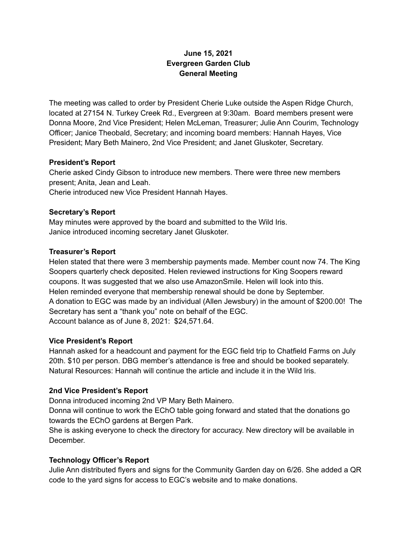# **June 15, 2021 Evergreen Garden Club General Meeting**

The meeting was called to order by President Cherie Luke outside the Aspen Ridge Church, located at 27154 N. Turkey Creek Rd., Evergreen at 9:30am. Board members present were Donna Moore, 2nd Vice President; Helen McLeman, Treasurer; Julie Ann Courim, Technology Officer; Janice Theobald, Secretary; and incoming board members: Hannah Hayes, Vice President; Mary Beth Mainero, 2nd Vice President; and Janet Gluskoter, Secretary.

### **President's Report**

Cherie asked Cindy Gibson to introduce new members. There were three new members present; Anita, Jean and Leah.

Cherie introduced new Vice President Hannah Hayes.

### **Secretary's Report**

May minutes were approved by the board and submitted to the Wild Iris. Janice introduced incoming secretary Janet Gluskoter.

### **Treasurer's Report**

Helen stated that there were 3 membership payments made. Member count now 74. The King Soopers quarterly check deposited. Helen reviewed instructions for King Soopers reward coupons. It was suggested that we also use AmazonSmile. Helen will look into this. Helen reminded everyone that membership renewal should be done by September. A donation to EGC was made by an individual (Allen Jewsbury) in the amount of \$200.00! The Secretary has sent a "thank you" note on behalf of the EGC. Account balance as of June 8, 2021: \$24,571.64.

# **Vice President's Report**

Hannah asked for a headcount and payment for the EGC field trip to Chatfield Farms on July 20th. \$10 per person. DBG member's attendance is free and should be booked separately. Natural Resources: Hannah will continue the article and include it in the Wild Iris.

# **2nd Vice President's Report**

Donna introduced incoming 2nd VP Mary Beth Mainero.

Donna will continue to work the EChO table going forward and stated that the donations go towards the EChO gardens at Bergen Park.

She is asking everyone to check the directory for accuracy. New directory will be available in December.

# **Technology Officer's Report**

Julie Ann distributed flyers and signs for the Community Garden day on 6/26. She added a QR code to the yard signs for access to EGC's website and to make donations.